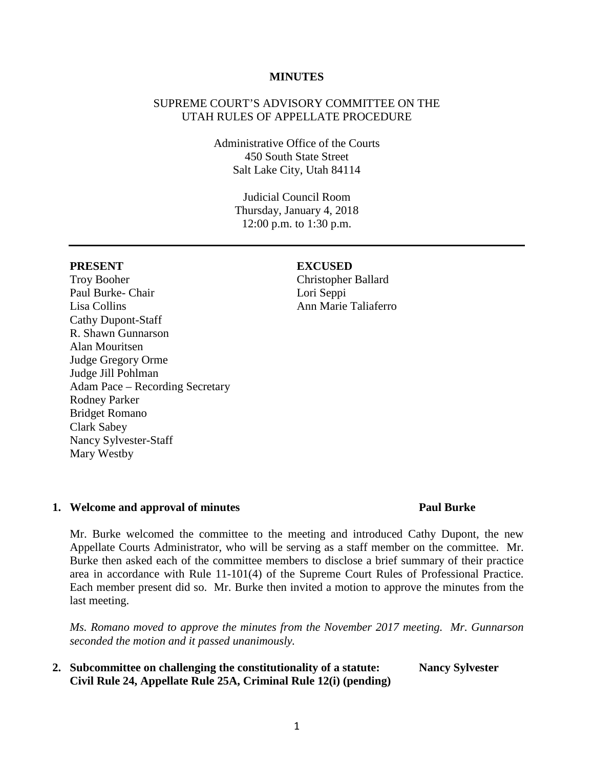#### **MINUTES**

# SUPREME COURT'S ADVISORY COMMITTEE ON THE UTAH RULES OF APPELLATE PROCEDURE

Administrative Office of the Courts 450 South State Street Salt Lake City, Utah 84114

> Judicial Council Room Thursday, January 4, 2018 12:00 p.m. to 1:30 p.m.

Troy Booher Paul Burke- Chair Lisa Collins Cathy Dupont-Staff R. Shawn Gunnarson Alan Mouritsen Judge Gregory Orme Judge Jill Pohlman Adam Pace – Recording Secretary Rodney Parker Bridget Romano Clark Sabey Nancy Sylvester-Staff Mary Westby

#### **PRESENT EXCUSED**

Christopher Ballard Lori Seppi Ann Marie Taliaferro

#### **1. Welcome and approval of minutes Paul Burke**

Mr. Burke welcomed the committee to the meeting and introduced Cathy Dupont, the new Appellate Courts Administrator, who will be serving as a staff member on the committee. Mr. Burke then asked each of the committee members to disclose a brief summary of their practice area in accordance with Rule 11-101(4) of the Supreme Court Rules of Professional Practice. Each member present did so. Mr. Burke then invited a motion to approve the minutes from the last meeting.

*Ms. Romano moved to approve the minutes from the November 2017 meeting. Mr. Gunnarson seconded the motion and it passed unanimously.*

**2. Subcommittee on challenging the constitutionality of a statute: Nancy Sylvester Civil Rule 24, Appellate Rule 25A, Criminal Rule 12(i) (pending)**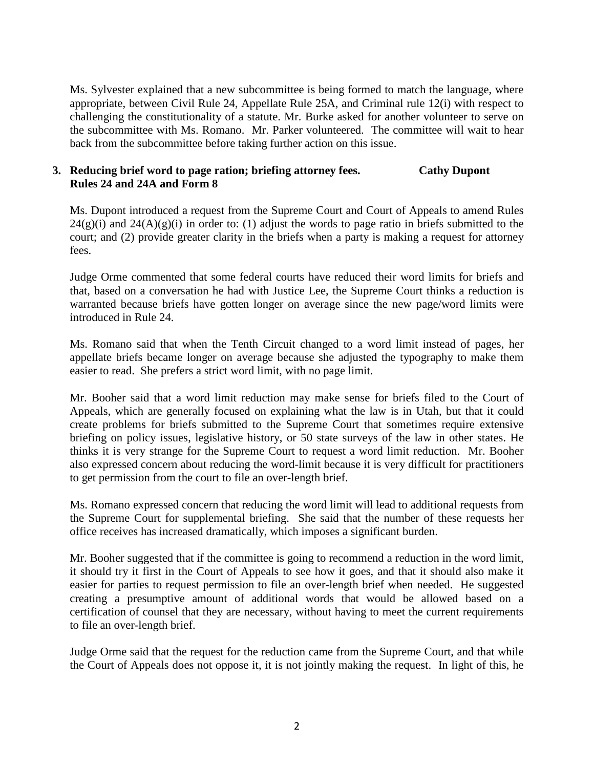Ms. Sylvester explained that a new subcommittee is being formed to match the language, where appropriate, between Civil Rule 24, Appellate Rule 25A, and Criminal rule 12(i) with respect to challenging the constitutionality of a statute. Mr. Burke asked for another volunteer to serve on the subcommittee with Ms. Romano. Mr. Parker volunteered. The committee will wait to hear back from the subcommittee before taking further action on this issue.

# **3. Reducing brief word to page ration; briefing attorney fees. Cathy Dupont Rules 24 and 24A and Form 8**

Ms. Dupont introduced a request from the Supreme Court and Court of Appeals to amend Rules  $24(g)(i)$  and  $24(A)(g)(i)$  in order to: (1) adjust the words to page ratio in briefs submitted to the court; and (2) provide greater clarity in the briefs when a party is making a request for attorney fees.

Judge Orme commented that some federal courts have reduced their word limits for briefs and that, based on a conversation he had with Justice Lee, the Supreme Court thinks a reduction is warranted because briefs have gotten longer on average since the new page/word limits were introduced in Rule 24.

Ms. Romano said that when the Tenth Circuit changed to a word limit instead of pages, her appellate briefs became longer on average because she adjusted the typography to make them easier to read. She prefers a strict word limit, with no page limit.

Mr. Booher said that a word limit reduction may make sense for briefs filed to the Court of Appeals, which are generally focused on explaining what the law is in Utah, but that it could create problems for briefs submitted to the Supreme Court that sometimes require extensive briefing on policy issues, legislative history, or 50 state surveys of the law in other states. He thinks it is very strange for the Supreme Court to request a word limit reduction. Mr. Booher also expressed concern about reducing the word-limit because it is very difficult for practitioners to get permission from the court to file an over-length brief.

Ms. Romano expressed concern that reducing the word limit will lead to additional requests from the Supreme Court for supplemental briefing. She said that the number of these requests her office receives has increased dramatically, which imposes a significant burden.

Mr. Booher suggested that if the committee is going to recommend a reduction in the word limit, it should try it first in the Court of Appeals to see how it goes, and that it should also make it easier for parties to request permission to file an over-length brief when needed. He suggested creating a presumptive amount of additional words that would be allowed based on a certification of counsel that they are necessary, without having to meet the current requirements to file an over-length brief.

Judge Orme said that the request for the reduction came from the Supreme Court, and that while the Court of Appeals does not oppose it, it is not jointly making the request. In light of this, he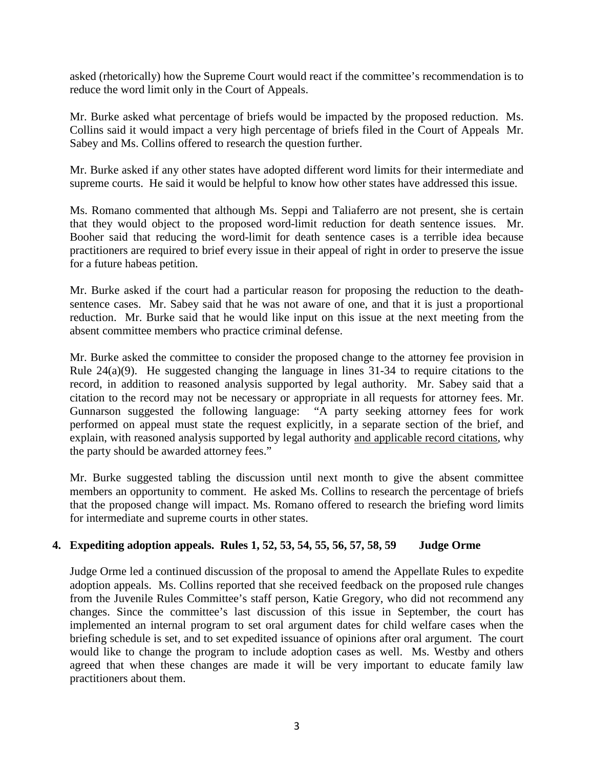asked (rhetorically) how the Supreme Court would react if the committee's recommendation is to reduce the word limit only in the Court of Appeals.

Mr. Burke asked what percentage of briefs would be impacted by the proposed reduction. Ms. Collins said it would impact a very high percentage of briefs filed in the Court of Appeals Mr. Sabey and Ms. Collins offered to research the question further.

Mr. Burke asked if any other states have adopted different word limits for their intermediate and supreme courts. He said it would be helpful to know how other states have addressed this issue.

Ms. Romano commented that although Ms. Seppi and Taliaferro are not present, she is certain that they would object to the proposed word-limit reduction for death sentence issues. Mr. Booher said that reducing the word-limit for death sentence cases is a terrible idea because practitioners are required to brief every issue in their appeal of right in order to preserve the issue for a future habeas petition.

Mr. Burke asked if the court had a particular reason for proposing the reduction to the deathsentence cases. Mr. Sabey said that he was not aware of one, and that it is just a proportional reduction. Mr. Burke said that he would like input on this issue at the next meeting from the absent committee members who practice criminal defense.

Mr. Burke asked the committee to consider the proposed change to the attorney fee provision in Rule 24(a)(9). He suggested changing the language in lines 31-34 to require citations to the record, in addition to reasoned analysis supported by legal authority. Mr. Sabey said that a citation to the record may not be necessary or appropriate in all requests for attorney fees. Mr. Gunnarson suggested the following language: "A party seeking attorney fees for work performed on appeal must state the request explicitly, in a separate section of the brief, and explain, with reasoned analysis supported by legal authority and applicable record citations, why the party should be awarded attorney fees."

Mr. Burke suggested tabling the discussion until next month to give the absent committee members an opportunity to comment. He asked Ms. Collins to research the percentage of briefs that the proposed change will impact. Ms. Romano offered to research the briefing word limits for intermediate and supreme courts in other states.

# **4. Expediting adoption appeals. Rules 1, 52, 53, 54, 55, 56, 57, 58, 59 Judge Orme**

Judge Orme led a continued discussion of the proposal to amend the Appellate Rules to expedite adoption appeals. Ms. Collins reported that she received feedback on the proposed rule changes from the Juvenile Rules Committee's staff person, Katie Gregory, who did not recommend any changes. Since the committee's last discussion of this issue in September, the court has implemented an internal program to set oral argument dates for child welfare cases when the briefing schedule is set, and to set expedited issuance of opinions after oral argument. The court would like to change the program to include adoption cases as well. Ms. Westby and others agreed that when these changes are made it will be very important to educate family law practitioners about them.